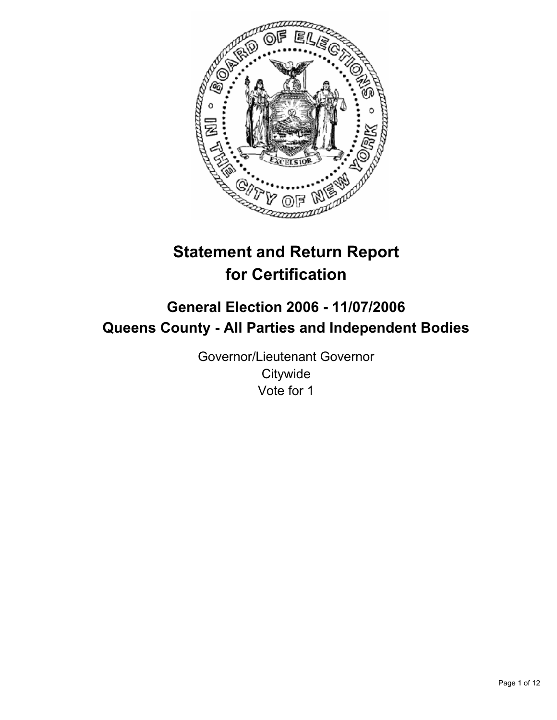

# **Statement and Return Report for Certification**

# **General Election 2006 - 11/07/2006 Queens County - All Parties and Independent Bodies**

Governor/Lieutenant Governor **Citywide** Vote for 1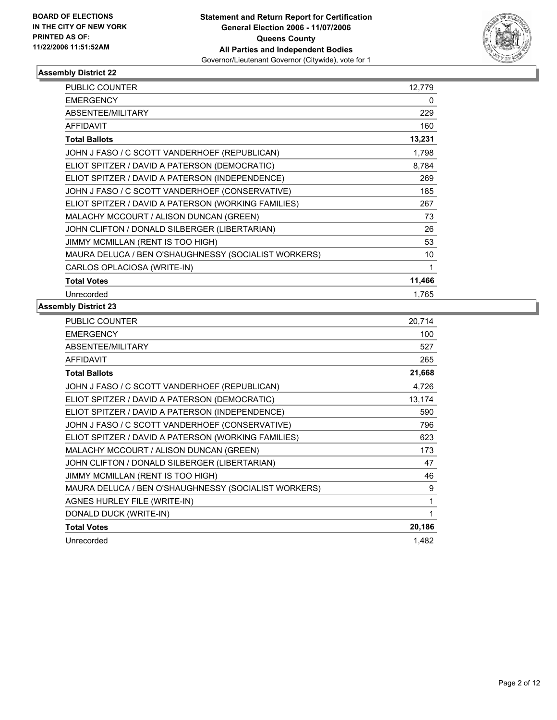

| <b>PUBLIC COUNTER</b>                                | 12,779 |
|------------------------------------------------------|--------|
| <b>EMERGENCY</b>                                     | 0      |
| ABSENTEE/MILITARY                                    | 229    |
| <b>AFFIDAVIT</b>                                     | 160    |
| <b>Total Ballots</b>                                 | 13,231 |
| JOHN J FASO / C SCOTT VANDERHOEF (REPUBLICAN)        | 1,798  |
| ELIOT SPITZER / DAVID A PATERSON (DEMOCRATIC)        | 8,784  |
| ELIOT SPITZER / DAVID A PATERSON (INDEPENDENCE)      | 269    |
| JOHN J FASO / C SCOTT VANDERHOEF (CONSERVATIVE)      | 185    |
| ELIOT SPITZER / DAVID A PATERSON (WORKING FAMILIES)  | 267    |
| MALACHY MCCOURT / ALISON DUNCAN (GREEN)              | 73     |
| JOHN CLIFTON / DONALD SILBERGER (LIBERTARIAN)        | 26     |
| JIMMY MCMILLAN (RENT IS TOO HIGH)                    | 53     |
| MAURA DELUCA / BEN O'SHAUGHNESSY (SOCIALIST WORKERS) | 10     |
| CARLOS OPLACIOSA (WRITE-IN)                          |        |
| <b>Total Votes</b>                                   | 11,466 |
| Unrecorded                                           | 1,765  |

| 20,714 |
|--------|
| 100    |
| 527    |
| 265    |
| 21,668 |
| 4,726  |
| 13,174 |
| 590    |
| 796    |
| 623    |
| 173    |
| 47     |
| 46     |
| 9      |
| 1      |
|        |
| 20,186 |
| 1.482  |
|        |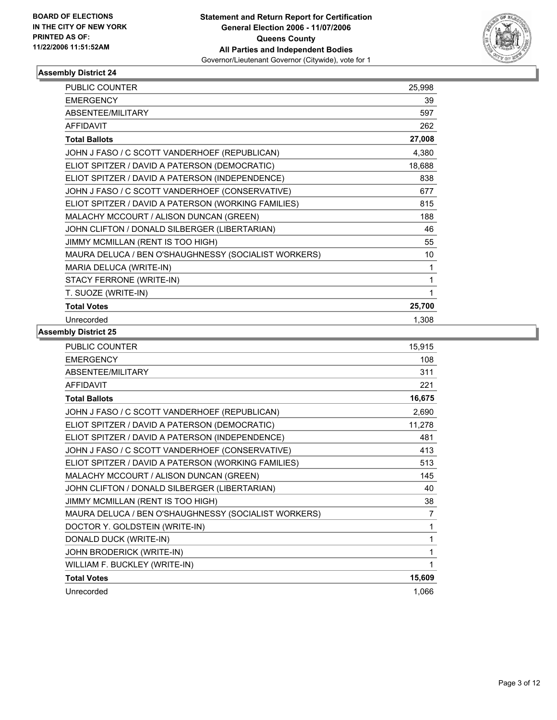

| <b>PUBLIC COUNTER</b>                                | 25,998 |
|------------------------------------------------------|--------|
| <b>EMERGENCY</b>                                     | 39     |
| ABSENTEE/MILITARY                                    | 597    |
| <b>AFFIDAVIT</b>                                     | 262    |
| <b>Total Ballots</b>                                 | 27,008 |
| JOHN J FASO / C SCOTT VANDERHOEF (REPUBLICAN)        | 4,380  |
| ELIOT SPITZER / DAVID A PATERSON (DEMOCRATIC)        | 18,688 |
| ELIOT SPITZER / DAVID A PATERSON (INDEPENDENCE)      | 838    |
| JOHN J FASO / C SCOTT VANDERHOEF (CONSERVATIVE)      | 677    |
| ELIOT SPITZER / DAVID A PATERSON (WORKING FAMILIES)  | 815    |
| MALACHY MCCOURT / ALISON DUNCAN (GREEN)              | 188    |
| JOHN CLIFTON / DONALD SILBERGER (LIBERTARIAN)        | 46     |
| JIMMY MCMILLAN (RENT IS TOO HIGH)                    | 55     |
| MAURA DELUCA / BEN O'SHAUGHNESSY (SOCIALIST WORKERS) | 10     |
| MARIA DELUCA (WRITE-IN)                              | 1      |
| STACY FERRONE (WRITE-IN)                             |        |
| T. SUOZE (WRITE-IN)                                  | 1      |
| <b>Total Votes</b>                                   | 25,700 |
| Unrecorded                                           | 1,308  |

| PUBLIC COUNTER                                       | 15,915 |
|------------------------------------------------------|--------|
| <b>EMERGENCY</b>                                     | 108    |
| <b>ABSENTEE/MILITARY</b>                             | 311    |
| <b>AFFIDAVIT</b>                                     | 221    |
| <b>Total Ballots</b>                                 | 16,675 |
| JOHN J FASO / C SCOTT VANDERHOEF (REPUBLICAN)        | 2,690  |
| ELIOT SPITZER / DAVID A PATERSON (DEMOCRATIC)        | 11,278 |
| ELIOT SPITZER / DAVID A PATERSON (INDEPENDENCE)      | 481    |
| JOHN J FASO / C SCOTT VANDERHOEF (CONSERVATIVE)      | 413    |
| ELIOT SPITZER / DAVID A PATERSON (WORKING FAMILIES)  | 513    |
| MALACHY MCCOURT / ALISON DUNCAN (GREEN)              | 145    |
| JOHN CLIFTON / DONALD SILBERGER (LIBERTARIAN)        | 40     |
| JIMMY MCMILLAN (RENT IS TOO HIGH)                    | 38     |
| MAURA DELUCA / BEN O'SHAUGHNESSY (SOCIALIST WORKERS) | 7      |
| DOCTOR Y. GOLDSTEIN (WRITE-IN)                       | 1      |
| DONALD DUCK (WRITE-IN)                               | 1      |
| JOHN BRODERICK (WRITE-IN)                            |        |
| WILLIAM F. BUCKLEY (WRITE-IN)                        |        |
| <b>Total Votes</b>                                   | 15,609 |
| Unrecorded                                           | 1,066  |
|                                                      |        |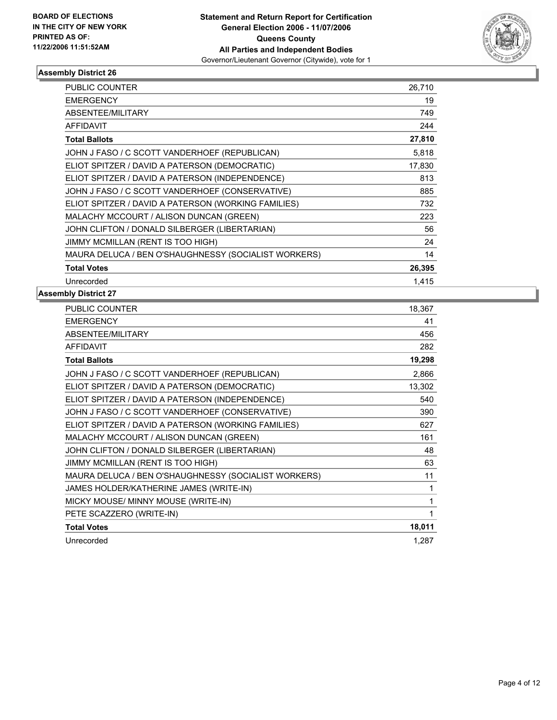

| PUBLIC COUNTER                                       | 26,710 |
|------------------------------------------------------|--------|
| <b>EMERGENCY</b>                                     | 19     |
| ABSENTEE/MILITARY                                    | 749    |
| <b>AFFIDAVIT</b>                                     | 244    |
| <b>Total Ballots</b>                                 | 27,810 |
| JOHN J FASO / C SCOTT VANDERHOEF (REPUBLICAN)        | 5,818  |
| ELIOT SPITZER / DAVID A PATERSON (DEMOCRATIC)        | 17,830 |
| ELIOT SPITZER / DAVID A PATERSON (INDEPENDENCE)      | 813    |
| JOHN J FASO / C SCOTT VANDERHOEF (CONSERVATIVE)      | 885    |
| ELIOT SPITZER / DAVID A PATERSON (WORKING FAMILIES)  | 732    |
| MALACHY MCCOURT / ALISON DUNCAN (GREEN)              | 223    |
| JOHN CLIFTON / DONALD SILBERGER (LIBERTARIAN)        | 56     |
| JIMMY MCMILLAN (RENT IS TOO HIGH)                    | 24     |
| MAURA DELUCA / BEN O'SHAUGHNESSY (SOCIALIST WORKERS) | 14     |
| <b>Total Votes</b>                                   | 26,395 |
| Unrecorded                                           | 1,415  |

| PUBLIC COUNTER                                       | 18,367 |
|------------------------------------------------------|--------|
| <b>EMERGENCY</b>                                     | 41     |
| ABSENTEE/MILITARY                                    | 456    |
| <b>AFFIDAVIT</b>                                     | 282    |
| <b>Total Ballots</b>                                 | 19,298 |
| JOHN J FASO / C SCOTT VANDERHOEF (REPUBLICAN)        | 2,866  |
| ELIOT SPITZER / DAVID A PATERSON (DEMOCRATIC)        | 13,302 |
| ELIOT SPITZER / DAVID A PATERSON (INDEPENDENCE)      | 540    |
| JOHN J FASO / C SCOTT VANDERHOEF (CONSERVATIVE)      | 390    |
| ELIOT SPITZER / DAVID A PATERSON (WORKING FAMILIES)  | 627    |
| MALACHY MCCOURT / ALISON DUNCAN (GREEN)              | 161    |
| JOHN CLIFTON / DONALD SILBERGER (LIBERTARIAN)        | 48     |
| JIMMY MCMILLAN (RENT IS TOO HIGH)                    | 63     |
| MAURA DELUCA / BEN O'SHAUGHNESSY (SOCIALIST WORKERS) | 11     |
| JAMES HOLDER/KATHERINE JAMES (WRITE-IN)              |        |
| MICKY MOUSE/ MINNY MOUSE (WRITE-IN)                  |        |
| PETE SCAZZERO (WRITE-IN)                             |        |
| <b>Total Votes</b>                                   | 18,011 |
| Unrecorded                                           | 1,287  |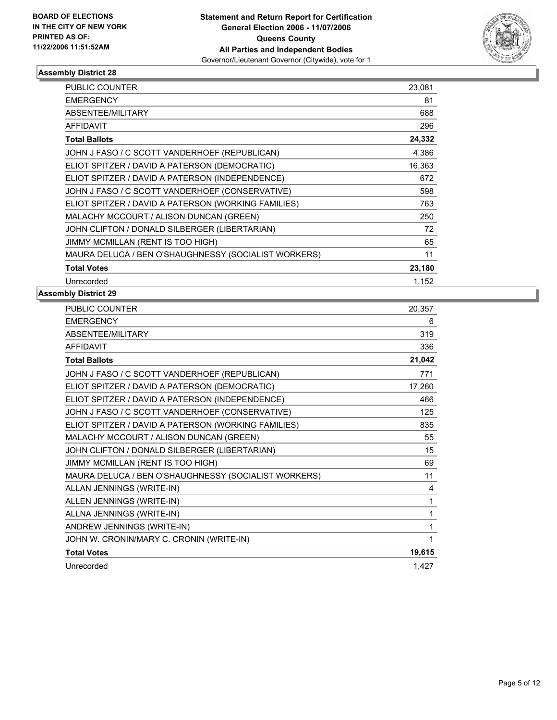

| PUBLIC COUNTER                                       | 23,081 |
|------------------------------------------------------|--------|
| <b>EMERGENCY</b>                                     | 81     |
| <b>ABSENTEE/MILITARY</b>                             | 688    |
| <b>AFFIDAVIT</b>                                     | 296    |
| <b>Total Ballots</b>                                 | 24,332 |
| JOHN J FASO / C SCOTT VANDERHOEF (REPUBLICAN)        | 4,386  |
| ELIOT SPITZER / DAVID A PATERSON (DEMOCRATIC)        | 16,363 |
| ELIOT SPITZER / DAVID A PATERSON (INDEPENDENCE)      | 672    |
| JOHN J FASO / C SCOTT VANDERHOEF (CONSERVATIVE)      | 598    |
| ELIOT SPITZER / DAVID A PATERSON (WORKING FAMILIES)  | 763    |
| MALACHY MCCOURT / ALISON DUNCAN (GREEN)              | 250    |
| JOHN CLIFTON / DONALD SILBERGER (LIBERTARIAN)        | 72     |
| JIMMY MCMILLAN (RENT IS TOO HIGH)                    | 65     |
| MAURA DELUCA / BEN O'SHAUGHNESSY (SOCIALIST WORKERS) | 11     |
| <b>Total Votes</b>                                   | 23,180 |
| Unrecorded                                           | 1.152  |

| PUBLIC COUNTER                                       | 20,357 |
|------------------------------------------------------|--------|
| <b>EMERGENCY</b>                                     | 6      |
| ABSENTEE/MILITARY                                    | 319    |
| <b>AFFIDAVIT</b>                                     | 336    |
| <b>Total Ballots</b>                                 | 21,042 |
| JOHN J FASO / C SCOTT VANDERHOEF (REPUBLICAN)        | 771    |
| ELIOT SPITZER / DAVID A PATERSON (DEMOCRATIC)        | 17,260 |
| ELIOT SPITZER / DAVID A PATERSON (INDEPENDENCE)      | 466    |
| JOHN J FASO / C SCOTT VANDERHOEF (CONSERVATIVE)      | 125    |
| ELIOT SPITZER / DAVID A PATERSON (WORKING FAMILIES)  | 835    |
| MALACHY MCCOURT / ALISON DUNCAN (GREEN)              | 55     |
| JOHN CLIFTON / DONALD SILBERGER (LIBERTARIAN)        | 15     |
| JIMMY MCMILLAN (RENT IS TOO HIGH)                    | 69     |
| MAURA DELUCA / BEN O'SHAUGHNESSY (SOCIALIST WORKERS) | 11     |
| ALLAN JENNINGS (WRITE-IN)                            | 4      |
| ALLEN JENNINGS (WRITE-IN)                            | 1      |
| ALLNA JENNINGS (WRITE-IN)                            | 1      |
| ANDREW JENNINGS (WRITE-IN)                           | 1      |
| JOHN W. CRONIN/MARY C. CRONIN (WRITE-IN)             |        |
| <b>Total Votes</b>                                   | 19,615 |
| Unrecorded                                           | 1,427  |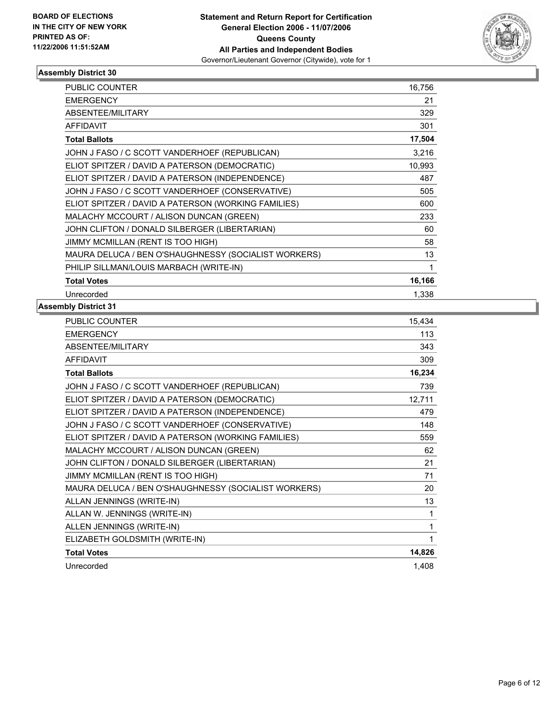

| <b>PUBLIC COUNTER</b>                                | 16,756 |
|------------------------------------------------------|--------|
| <b>EMERGENCY</b>                                     | 21     |
| ABSENTEE/MILITARY                                    | 329    |
| <b>AFFIDAVIT</b>                                     | 301    |
| <b>Total Ballots</b>                                 | 17,504 |
| JOHN J FASO / C SCOTT VANDERHOEF (REPUBLICAN)        | 3,216  |
| ELIOT SPITZER / DAVID A PATERSON (DEMOCRATIC)        | 10,993 |
| ELIOT SPITZER / DAVID A PATERSON (INDEPENDENCE)      | 487    |
| JOHN J FASO / C SCOTT VANDERHOEF (CONSERVATIVE)      | 505    |
| ELIOT SPITZER / DAVID A PATERSON (WORKING FAMILIES)  | 600    |
| MALACHY MCCOURT / ALISON DUNCAN (GREEN)              | 233    |
| JOHN CLIFTON / DONALD SILBERGER (LIBERTARIAN)        | 60     |
| JIMMY MCMILLAN (RENT IS TOO HIGH)                    | 58     |
| MAURA DELUCA / BEN O'SHAUGHNESSY (SOCIALIST WORKERS) | 13     |
| PHILIP SILLMAN/LOUIS MARBACH (WRITE-IN)              |        |
| <b>Total Votes</b>                                   | 16,166 |
| Unrecorded                                           | 1,338  |

| <b>PUBLIC COUNTER</b>                                | 15,434 |
|------------------------------------------------------|--------|
| <b>EMERGENCY</b>                                     | 113    |
| ABSENTEE/MILITARY                                    | 343    |
| <b>AFFIDAVIT</b>                                     | 309    |
| <b>Total Ballots</b>                                 | 16,234 |
| JOHN J FASO / C SCOTT VANDERHOEF (REPUBLICAN)        | 739    |
| ELIOT SPITZER / DAVID A PATERSON (DEMOCRATIC)        | 12,711 |
| ELIOT SPITZER / DAVID A PATERSON (INDEPENDENCE)      | 479    |
| JOHN J FASO / C SCOTT VANDERHOEF (CONSERVATIVE)      | 148    |
| ELIOT SPITZER / DAVID A PATERSON (WORKING FAMILIES)  | 559    |
| MALACHY MCCOURT / ALISON DUNCAN (GREEN)              | 62     |
| JOHN CLIFTON / DONALD SILBERGER (LIBERTARIAN)        | 21     |
| JIMMY MCMILLAN (RENT IS TOO HIGH)                    | 71     |
| MAURA DELUCA / BEN O'SHAUGHNESSY (SOCIALIST WORKERS) | 20     |
| ALLAN JENNINGS (WRITE-IN)                            | 13     |
| ALLAN W. JENNINGS (WRITE-IN)                         | 1      |
| ALLEN JENNINGS (WRITE-IN)                            | 1      |
| ELIZABETH GOLDSMITH (WRITE-IN)                       |        |
| <b>Total Votes</b>                                   | 14,826 |
| Unrecorded                                           | 1,408  |
|                                                      |        |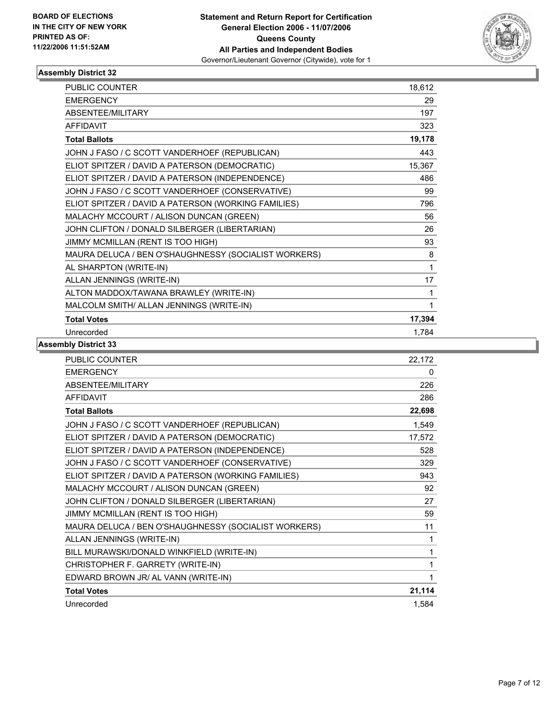

| PUBLIC COUNTER                                       | 18,612 |
|------------------------------------------------------|--------|
| <b>EMERGENCY</b>                                     | 29     |
| ABSENTEE/MILITARY                                    | 197    |
| <b>AFFIDAVIT</b>                                     | 323    |
| <b>Total Ballots</b>                                 | 19,178 |
| JOHN J FASO / C SCOTT VANDERHOEF (REPUBLICAN)        | 443    |
| ELIOT SPITZER / DAVID A PATERSON (DEMOCRATIC)        | 15,367 |
| ELIOT SPITZER / DAVID A PATERSON (INDEPENDENCE)      | 486    |
| JOHN J FASO / C SCOTT VANDERHOEF (CONSERVATIVE)      | 99     |
| ELIOT SPITZER / DAVID A PATERSON (WORKING FAMILIES)  | 796    |
| MALACHY MCCOURT / ALISON DUNCAN (GREEN)              | 56     |
| JOHN CLIFTON / DONALD SILBERGER (LIBERTARIAN)        | 26     |
| JIMMY MCMILLAN (RENT IS TOO HIGH)                    | 93     |
| MAURA DELUCA / BEN O'SHAUGHNESSY (SOCIALIST WORKERS) | 8      |
| AL SHARPTON (WRITE-IN)                               | 1      |
| ALLAN JENNINGS (WRITE-IN)                            | 17     |
| ALTON MADDOX/TAWANA BRAWLEY (WRITE-IN)               |        |
| MALCOLM SMITH/ ALLAN JENNINGS (WRITE-IN)             |        |
| <b>Total Votes</b>                                   | 17,394 |
| Unrecorded                                           | 1,784  |

| <b>PUBLIC COUNTER</b>                                | 22,172 |
|------------------------------------------------------|--------|
| <b>EMERGENCY</b>                                     | 0      |
| ABSENTEE/MILITARY                                    | 226    |
| <b>AFFIDAVIT</b>                                     | 286    |
| <b>Total Ballots</b>                                 | 22,698 |
| JOHN J FASO / C SCOTT VANDERHOEF (REPUBLICAN)        | 1,549  |
| ELIOT SPITZER / DAVID A PATERSON (DEMOCRATIC)        | 17,572 |
| ELIOT SPITZER / DAVID A PATERSON (INDEPENDENCE)      | 528    |
| JOHN J FASO / C SCOTT VANDERHOEF (CONSERVATIVE)      | 329    |
| ELIOT SPITZER / DAVID A PATERSON (WORKING FAMILIES)  | 943    |
| MALACHY MCCOURT / ALISON DUNCAN (GREEN)              | 92     |
| JOHN CLIFTON / DONALD SILBERGER (LIBERTARIAN)        | 27     |
| JIMMY MCMILLAN (RENT IS TOO HIGH)                    | 59     |
| MAURA DELUCA / BEN O'SHAUGHNESSY (SOCIALIST WORKERS) | 11     |
| ALLAN JENNINGS (WRITE-IN)                            | 1      |
| BILL MURAWSKI/DONALD WINKFIELD (WRITE-IN)            | 1      |
| CHRISTOPHER F. GARRETY (WRITE-IN)                    |        |
| EDWARD BROWN JR/ AL VANN (WRITE-IN)                  |        |
| <b>Total Votes</b>                                   | 21,114 |
| Unrecorded                                           | 1,584  |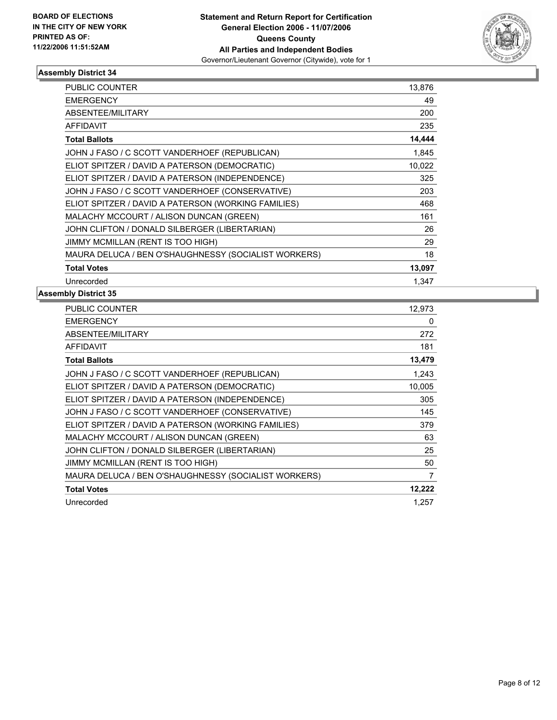

| PUBLIC COUNTER                                       | 13,876 |
|------------------------------------------------------|--------|
| <b>EMERGENCY</b>                                     | 49     |
| <b>ABSENTEE/MILITARY</b>                             | 200    |
| <b>AFFIDAVIT</b>                                     | 235    |
| <b>Total Ballots</b>                                 | 14,444 |
| JOHN J FASO / C SCOTT VANDERHOEF (REPUBLICAN)        | 1,845  |
| ELIOT SPITZER / DAVID A PATERSON (DEMOCRATIC)        | 10,022 |
| ELIOT SPITZER / DAVID A PATERSON (INDEPENDENCE)      | 325    |
| JOHN J FASO / C SCOTT VANDERHOEF (CONSERVATIVE)      | 203    |
| ELIOT SPITZER / DAVID A PATERSON (WORKING FAMILIES)  | 468    |
| MALACHY MCCOURT / ALISON DUNCAN (GREEN)              | 161    |
| JOHN CLIFTON / DONALD SILBERGER (LIBERTARIAN)        | 26     |
| JIMMY MCMILLAN (RENT IS TOO HIGH)                    | 29     |
| MAURA DELUCA / BEN O'SHAUGHNESSY (SOCIALIST WORKERS) | 18     |
| <b>Total Votes</b>                                   | 13,097 |
| Unrecorded                                           | 1.347  |

| PUBLIC COUNTER                                       | 12,973 |
|------------------------------------------------------|--------|
| <b>EMERGENCY</b>                                     | 0      |
| <b>ABSENTEE/MILITARY</b>                             | 272    |
| <b>AFFIDAVIT</b>                                     | 181    |
| <b>Total Ballots</b>                                 | 13,479 |
| JOHN J FASO / C SCOTT VANDERHOEF (REPUBLICAN)        | 1,243  |
| ELIOT SPITZER / DAVID A PATERSON (DEMOCRATIC)        | 10,005 |
| ELIOT SPITZER / DAVID A PATERSON (INDEPENDENCE)      | 305    |
| JOHN J FASO / C SCOTT VANDERHOEF (CONSERVATIVE)      | 145    |
| ELIOT SPITZER / DAVID A PATERSON (WORKING FAMILIES)  | 379    |
| MALACHY MCCOURT / ALISON DUNCAN (GREEN)              | 63     |
| JOHN CLIFTON / DONALD SILBERGER (LIBERTARIAN)        | 25     |
| JIMMY MCMILLAN (RENT IS TOO HIGH)                    | 50     |
| MAURA DELUCA / BEN O'SHAUGHNESSY (SOCIALIST WORKERS) | 7      |
| <b>Total Votes</b>                                   | 12,222 |
| Unrecorded                                           | 1.257  |
|                                                      |        |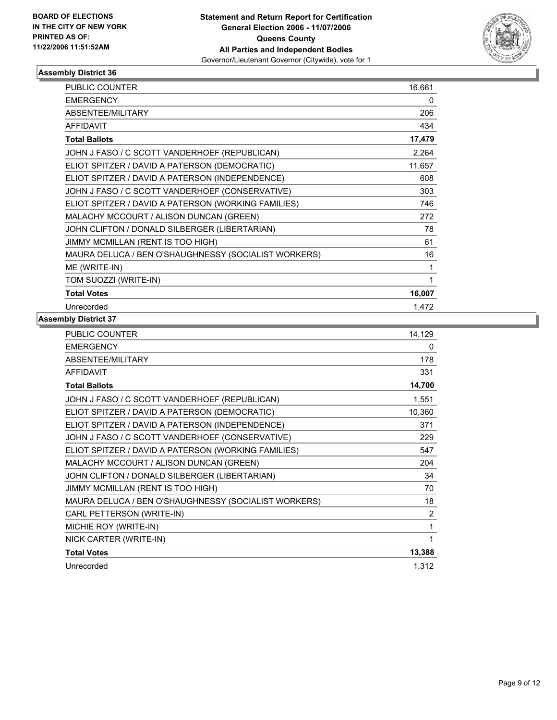

| PUBLIC COUNTER                                       | 16,661 |
|------------------------------------------------------|--------|
| <b>EMERGENCY</b>                                     | 0      |
| ABSENTEE/MILITARY                                    | 206    |
| <b>AFFIDAVIT</b>                                     | 434    |
| <b>Total Ballots</b>                                 | 17,479 |
| JOHN J FASO / C SCOTT VANDERHOEF (REPUBLICAN)        | 2,264  |
| ELIOT SPITZER / DAVID A PATERSON (DEMOCRATIC)        | 11,657 |
| ELIOT SPITZER / DAVID A PATERSON (INDEPENDENCE)      | 608    |
| JOHN J FASO / C SCOTT VANDERHOEF (CONSERVATIVE)      | 303    |
| ELIOT SPITZER / DAVID A PATERSON (WORKING FAMILIES)  | 746    |
| MALACHY MCCOURT / ALISON DUNCAN (GREEN)              | 272    |
| JOHN CLIFTON / DONALD SILBERGER (LIBERTARIAN)        | 78     |
| JIMMY MCMILLAN (RENT IS TOO HIGH)                    | 61     |
| MAURA DELUCA / BEN O'SHAUGHNESSY (SOCIALIST WORKERS) | 16     |
| ME (WRITE-IN)                                        |        |
| TOM SUOZZI (WRITE-IN)                                |        |
| <b>Total Votes</b>                                   | 16,007 |
| Unrecorded                                           | 1,472  |

| PUBLIC COUNTER                                       | 14,129         |
|------------------------------------------------------|----------------|
| <b>EMERGENCY</b>                                     | 0              |
| ABSENTEE/MILITARY                                    | 178            |
| <b>AFFIDAVIT</b>                                     | 331            |
| <b>Total Ballots</b>                                 | 14,700         |
| JOHN J FASO / C SCOTT VANDERHOEF (REPUBLICAN)        | 1,551          |
| ELIOT SPITZER / DAVID A PATERSON (DEMOCRATIC)        | 10,360         |
| ELIOT SPITZER / DAVID A PATERSON (INDEPENDENCE)      | 371            |
| JOHN J FASO / C SCOTT VANDERHOEF (CONSERVATIVE)      | 229            |
| ELIOT SPITZER / DAVID A PATERSON (WORKING FAMILIES)  | 547            |
| MALACHY MCCOURT / ALISON DUNCAN (GREEN)              | 204            |
| JOHN CLIFTON / DONALD SILBERGER (LIBERTARIAN)        | 34             |
| JIMMY MCMILLAN (RENT IS TOO HIGH)                    | 70             |
| MAURA DELUCA / BEN O'SHAUGHNESSY (SOCIALIST WORKERS) | 18             |
| CARL PETTERSON (WRITE-IN)                            | $\overline{2}$ |
| MICHIE ROY (WRITE-IN)                                | 1              |
| NICK CARTER (WRITE-IN)                               |                |
| <b>Total Votes</b>                                   | 13,388         |
| Unrecorded                                           | 1,312          |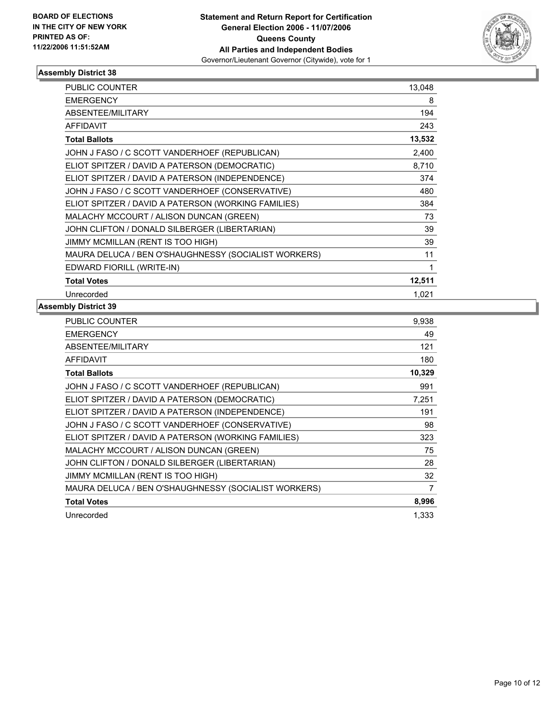

| PUBLIC COUNTER                                       | 13,048 |
|------------------------------------------------------|--------|
| <b>EMERGENCY</b>                                     | 8      |
| ABSENTEE/MILITARY                                    | 194    |
| <b>AFFIDAVIT</b>                                     | 243    |
| <b>Total Ballots</b>                                 | 13,532 |
| JOHN J FASO / C SCOTT VANDERHOEF (REPUBLICAN)        | 2,400  |
| ELIOT SPITZER / DAVID A PATERSON (DEMOCRATIC)        | 8,710  |
| ELIOT SPITZER / DAVID A PATERSON (INDEPENDENCE)      | 374    |
| JOHN J FASO / C SCOTT VANDERHOEF (CONSERVATIVE)      | 480    |
| ELIOT SPITZER / DAVID A PATERSON (WORKING FAMILIES)  | 384    |
| MALACHY MCCOURT / ALISON DUNCAN (GREEN)              | 73     |
| JOHN CLIFTON / DONALD SILBERGER (LIBERTARIAN)        | 39     |
| JIMMY MCMILLAN (RENT IS TOO HIGH)                    | 39     |
| MAURA DELUCA / BEN O'SHAUGHNESSY (SOCIALIST WORKERS) | 11     |
| EDWARD FIORILL (WRITE-IN)                            |        |
| <b>Total Votes</b>                                   | 12,511 |
| Unrecorded                                           | 1,021  |

| PUBLIC COUNTER                                       | 9,938  |
|------------------------------------------------------|--------|
| <b>EMERGENCY</b>                                     | 49     |
| ABSENTEE/MILITARY                                    | 121    |
| <b>AFFIDAVIT</b>                                     | 180    |
| <b>Total Ballots</b>                                 | 10,329 |
| JOHN J FASO / C SCOTT VANDERHOEF (REPUBLICAN)        | 991    |
| ELIOT SPITZER / DAVID A PATERSON (DEMOCRATIC)        | 7,251  |
| ELIOT SPITZER / DAVID A PATERSON (INDEPENDENCE)      | 191    |
| JOHN J FASO / C SCOTT VANDERHOEF (CONSERVATIVE)      | 98     |
| ELIOT SPITZER / DAVID A PATERSON (WORKING FAMILIES)  | 323    |
| MALACHY MCCOURT / ALISON DUNCAN (GREEN)              | 75     |
| JOHN CLIFTON / DONALD SILBERGER (LIBERTARIAN)        | 28     |
| JIMMY MCMILLAN (RENT IS TOO HIGH)                    | 32     |
| MAURA DELUCA / BEN O'SHAUGHNESSY (SOCIALIST WORKERS) | 7      |
| <b>Total Votes</b>                                   | 8,996  |
| Unrecorded                                           | 1,333  |
|                                                      |        |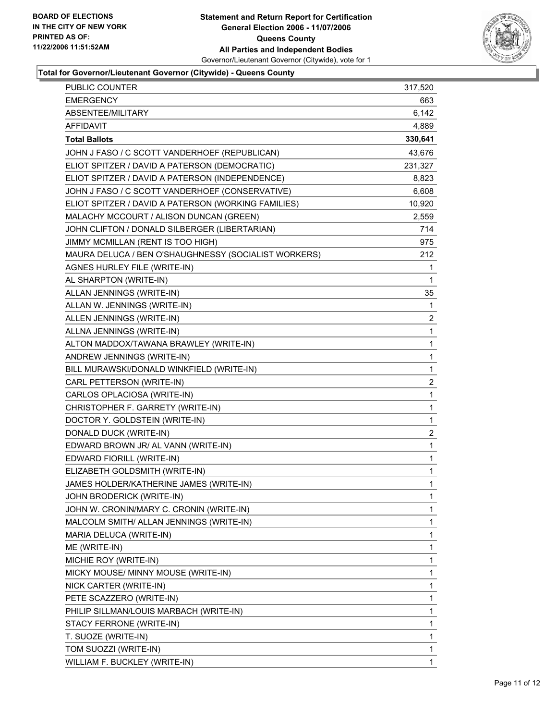

# **Total for Governor/Lieutenant Governor (Citywide) - Queens County**

| PUBLIC COUNTER                                       | 317,520 |
|------------------------------------------------------|---------|
| <b>EMERGENCY</b>                                     | 663     |
| ABSENTEE/MILITARY                                    | 6,142   |
| <b>AFFIDAVIT</b>                                     | 4,889   |
| <b>Total Ballots</b>                                 | 330,641 |
| JOHN J FASO / C SCOTT VANDERHOEF (REPUBLICAN)        | 43,676  |
| ELIOT SPITZER / DAVID A PATERSON (DEMOCRATIC)        | 231,327 |
| ELIOT SPITZER / DAVID A PATERSON (INDEPENDENCE)      | 8,823   |
| JOHN J FASO / C SCOTT VANDERHOEF (CONSERVATIVE)      | 6,608   |
| ELIOT SPITZER / DAVID A PATERSON (WORKING FAMILIES)  | 10,920  |
| MALACHY MCCOURT / ALISON DUNCAN (GREEN)              | 2,559   |
| JOHN CLIFTON / DONALD SILBERGER (LIBERTARIAN)        | 714     |
| JIMMY MCMILLAN (RENT IS TOO HIGH)                    | 975     |
| MAURA DELUCA / BEN O'SHAUGHNESSY (SOCIALIST WORKERS) | 212     |
| AGNES HURLEY FILE (WRITE-IN)                         | 1       |
| AL SHARPTON (WRITE-IN)                               | 1       |
| ALLAN JENNINGS (WRITE-IN)                            | 35      |
| ALLAN W. JENNINGS (WRITE-IN)                         | 1       |
| ALLEN JENNINGS (WRITE-IN)                            | 2       |
| ALLNA JENNINGS (WRITE-IN)                            | 1       |
| ALTON MADDOX/TAWANA BRAWLEY (WRITE-IN)               | 1       |
| ANDREW JENNINGS (WRITE-IN)                           | 1       |
| BILL MURAWSKI/DONALD WINKFIELD (WRITE-IN)            | 1       |
| CARL PETTERSON (WRITE-IN)                            | 2       |
| CARLOS OPLACIOSA (WRITE-IN)                          | 1       |
| CHRISTOPHER F. GARRETY (WRITE-IN)                    | 1       |
| DOCTOR Y. GOLDSTEIN (WRITE-IN)                       | 1       |
| DONALD DUCK (WRITE-IN)                               | 2       |
| EDWARD BROWN JR/ AL VANN (WRITE-IN)                  | 1       |
| EDWARD FIORILL (WRITE-IN)                            | 1       |
| ELIZABETH GOLDSMITH (WRITE-IN)                       | 1       |
| JAMES HOLDER/KATHERINE JAMES (WRITE-IN)              | 1       |
| JOHN BRODERICK (WRITE-IN)                            | 1       |
| JOHN W. CRONIN/MARY C. CRONIN (WRITE-IN)             | 1       |
| MALCOLM SMITH/ ALLAN JENNINGS (WRITE-IN)             | 1       |
| MARIA DELUCA (WRITE-IN)                              | 1       |
| ME (WRITE-IN)                                        | 1       |
| MICHIE ROY (WRITE-IN)                                | 1       |
| MICKY MOUSE/ MINNY MOUSE (WRITE-IN)                  | 1       |
| NICK CARTER (WRITE-IN)                               | 1       |
| PETE SCAZZERO (WRITE-IN)                             | 1       |
| PHILIP SILLMAN/LOUIS MARBACH (WRITE-IN)              | 1       |
| STACY FERRONE (WRITE-IN)                             | 1       |
| T. SUOZE (WRITE-IN)                                  | 1       |
| TOM SUOZZI (WRITE-IN)                                | 1       |
| WILLIAM F. BUCKLEY (WRITE-IN)                        | 1       |